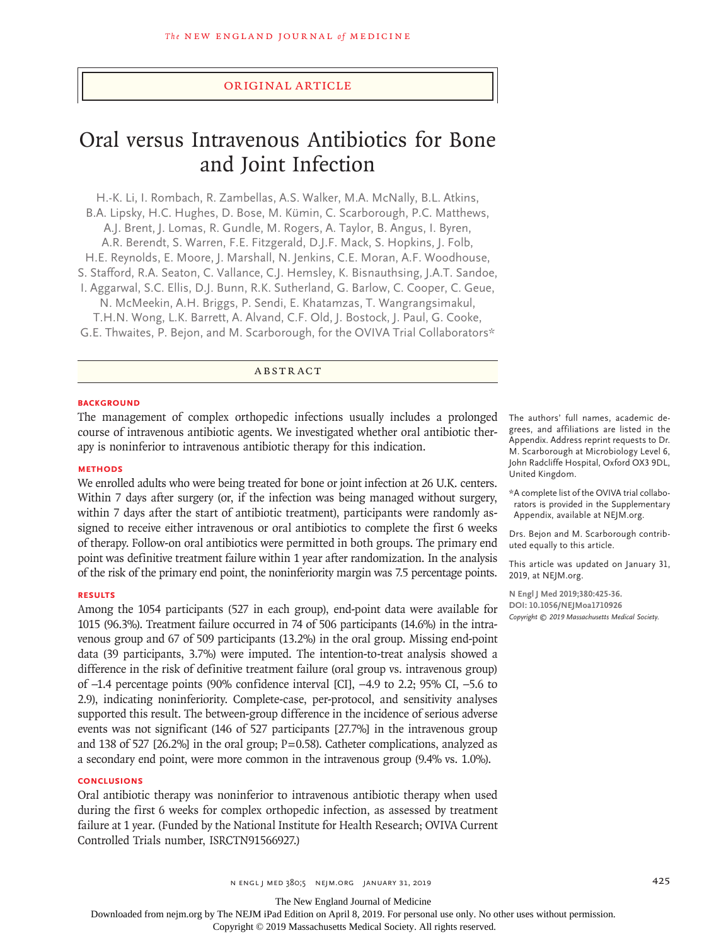## Original Article

# Oral versus Intravenous Antibiotics for Bone and Joint Infection

H.-K. Li, I. Rombach, R. Zambellas, A.S. Walker, M.A. McNally, B.L. Atkins, B.A. Lipsky, H.C. Hughes, D. Bose, M. Kümin, C. Scarborough, P.C. Matthews, A.J. Brent, J. Lomas, R. Gundle, M. Rogers, A. Taylor, B. Angus, I. Byren, A.R. Berendt, S. Warren, F.E. Fitzgerald, D.J.F. Mack, S. Hopkins, J. Folb, H.E. Reynolds, E. Moore, J. Marshall, N. Jenkins, C.E. Moran, A.F. Woodhouse, S. Stafford, R.A. Seaton, C. Vallance, C.J. Hemsley, K. Bisnauthsing, J.A.T. Sandoe, I. Aggarwal, S.C. Ellis, D.J. Bunn, R.K. Sutherland, G. Barlow, C. Cooper, C. Geue, N. McMeekin, A.H. Briggs, P. Sendi, E. Khatamzas, T. Wangrangsimakul, T.H.N. Wong, L.K. Barrett, A. Alvand, C.F. Old, J. Bostock, J. Paul, G. Cooke, G.E. Thwaites, P. Bejon, and M. Scarborough, for the OVIVA Trial Collaborators\*

ABSTRACT

#### **BACKGROUND**

The management of complex orthopedic infections usually includes a prolonged course of intravenous antibiotic agents. We investigated whether oral antibiotic therapy is noninferior to intravenous antibiotic therapy for this indication.

## **METHODS**

We enrolled adults who were being treated for bone or joint infection at 26 U.K. centers. Within 7 days after surgery (or, if the infection was being managed without surgery, within 7 days after the start of antibiotic treatment), participants were randomly assigned to receive either intravenous or oral antibiotics to complete the first 6 weeks of therapy. Follow-on oral antibiotics were permitted in both groups. The primary end point was definitive treatment failure within 1 year after randomization. In the analysis of the risk of the primary end point, the noninferiority margin was 7.5 percentage points.

#### **RESULTS**

Among the 1054 participants (527 in each group), end-point data were available for 1015 (96.3%). Treatment failure occurred in 74 of 506 participants (14.6%) in the intravenous group and 67 of 509 participants (13.2%) in the oral group. Missing end-point data (39 participants, 3.7%) were imputed. The intention-to-treat analysis showed a difference in the risk of definitive treatment failure (oral group vs. intravenous group) of −1.4 percentage points (90% confidence interval [CI], −4.9 to 2.2; 95% CI, −5.6 to 2.9), indicating noninferiority. Complete-case, per-protocol, and sensitivity analyses supported this result. The between-group difference in the incidence of serious adverse events was not significant (146 of 527 participants [27.7%] in the intravenous group and 138 of 527 [26.2%] in the oral group; P=0.58). Catheter complications, analyzed as a secondary end point, were more common in the intravenous group (9.4% vs. 1.0%).

## **CONCLUSIONS**

Oral antibiotic therapy was noninferior to intravenous antibiotic therapy when used during the first 6 weeks for complex orthopedic infection, as assessed by treatment failure at 1 year. (Funded by the National Institute for Health Research; OVIVA Current Controlled Trials number, ISRCTN91566927.)

The authors' full names, academic degrees, and affiliations are listed in the Appendix. Address reprint requests to Dr. M. Scarborough at Microbiology Level 6, John Radcliffe Hospital, Oxford OX3 9DL, United Kingdom.

\*A complete list of the OVIVA trial collaborators is provided in the Supplementary Appendix, available at NEJM.org.

Drs. Bejon and M. Scarborough contributed equally to this article.

This article was updated on January 31, 2019, at NEJM.org.

**N Engl J Med 2019;380:425-36. DOI: 10.1056/NEJMoa1710926** *Copyright © 2019 Massachusetts Medical Society.*

n engl j med 380;5 nejm.org January 31, 2019 425

The New England Journal of Medicine

Downloaded from nejm.org by The NEJM iPad Edition on April 8, 2019. For personal use only. No other uses without permission.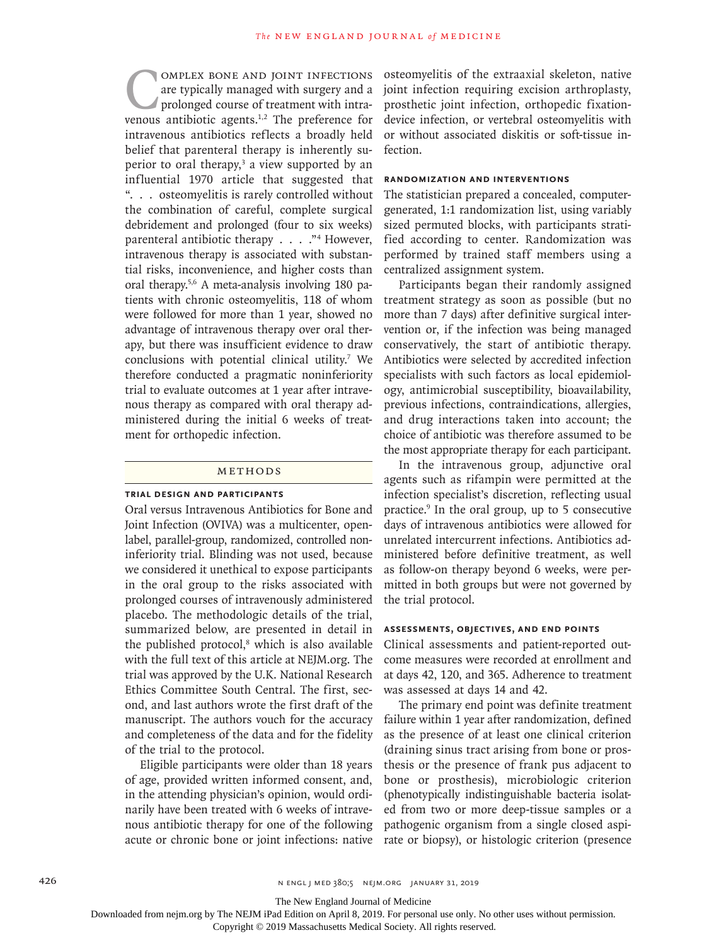**COMPLEX BONE AND JOINT INFECTIONS**<br>are typically managed with surgery and a<br>prolonged course of treatment with intra-<br>venous antibiotic agents.<sup>1,2</sup> The preference for are typically managed with surgery and a prolonged course of treatment with intravenous antibiotic agents.<sup>1,2</sup> The preference for intravenous antibiotics reflects a broadly held belief that parenteral therapy is inherently superior to oral therapy,<sup>3</sup> a view supported by an influential 1970 article that suggested that ". . . osteomyelitis is rarely controlled without the combination of careful, complete surgical debridement and prolonged (four to six weeks) parenteral antibiotic therapy . . . ."4 However, intravenous therapy is associated with substantial risks, inconvenience, and higher costs than oral therapy.5,6 A meta-analysis involving 180 patients with chronic osteomyelitis, 118 of whom were followed for more than 1 year, showed no advantage of intravenous therapy over oral therapy, but there was insufficient evidence to draw conclusions with potential clinical utility.<sup>7</sup> We therefore conducted a pragmatic noninferiority trial to evaluate outcomes at 1 year after intravenous therapy as compared with oral therapy administered during the initial 6 weeks of treatment for orthopedic infection.

#### Methods

# **Trial Design and Participants**

Oral versus Intravenous Antibiotics for Bone and Joint Infection (OVIVA) was a multicenter, openlabel, parallel-group, randomized, controlled noninferiority trial. Blinding was not used, because we considered it unethical to expose participants in the oral group to the risks associated with prolonged courses of intravenously administered placebo. The methodologic details of the trial, summarized below, are presented in detail in the published protocol,<sup>8</sup> which is also available with the full text of this article at NEJM.org. The trial was approved by the U.K. National Research Ethics Committee South Central. The first, second, and last authors wrote the first draft of the manuscript. The authors vouch for the accuracy and completeness of the data and for the fidelity of the trial to the protocol.

Eligible participants were older than 18 years of age, provided written informed consent, and, in the attending physician's opinion, would ordinarily have been treated with 6 weeks of intravenous antibiotic therapy for one of the following acute or chronic bone or joint infections: native osteomyelitis of the extraaxial skeleton, native joint infection requiring excision arthroplasty, prosthetic joint infection, orthopedic fixationdevice infection, or vertebral osteomyelitis with or without associated diskitis or soft-tissue infection.

## **Randomization and Interventions**

The statistician prepared a concealed, computergenerated, 1:1 randomization list, using variably sized permuted blocks, with participants stratified according to center. Randomization was performed by trained staff members using a centralized assignment system.

Participants began their randomly assigned treatment strategy as soon as possible (but no more than 7 days) after definitive surgical intervention or, if the infection was being managed conservatively, the start of antibiotic therapy. Antibiotics were selected by accredited infection specialists with such factors as local epidemiology, antimicrobial susceptibility, bioavailability, previous infections, contraindications, allergies, and drug interactions taken into account; the choice of antibiotic was therefore assumed to be the most appropriate therapy for each participant.

In the intravenous group, adjunctive oral agents such as rifampin were permitted at the infection specialist's discretion, reflecting usual practice.9 In the oral group, up to 5 consecutive days of intravenous antibiotics were allowed for unrelated intercurrent infections. Antibiotics administered before definitive treatment, as well as follow-on therapy beyond 6 weeks, were permitted in both groups but were not governed by the trial protocol.

# **Assessments, Objectives, and End Points**

Clinical assessments and patient-reported outcome measures were recorded at enrollment and at days 42, 120, and 365. Adherence to treatment was assessed at days 14 and 42.

The primary end point was definite treatment failure within 1 year after randomization, defined as the presence of at least one clinical criterion (draining sinus tract arising from bone or prosthesis or the presence of frank pus adjacent to bone or prosthesis), microbiologic criterion (phenotypically indistinguishable bacteria isolated from two or more deep-tissue samples or a pathogenic organism from a single closed aspirate or biopsy), or histologic criterion (presence

The New England Journal of Medicine

Downloaded from nejm.org by The NEJM iPad Edition on April 8, 2019. For personal use only. No other uses without permission.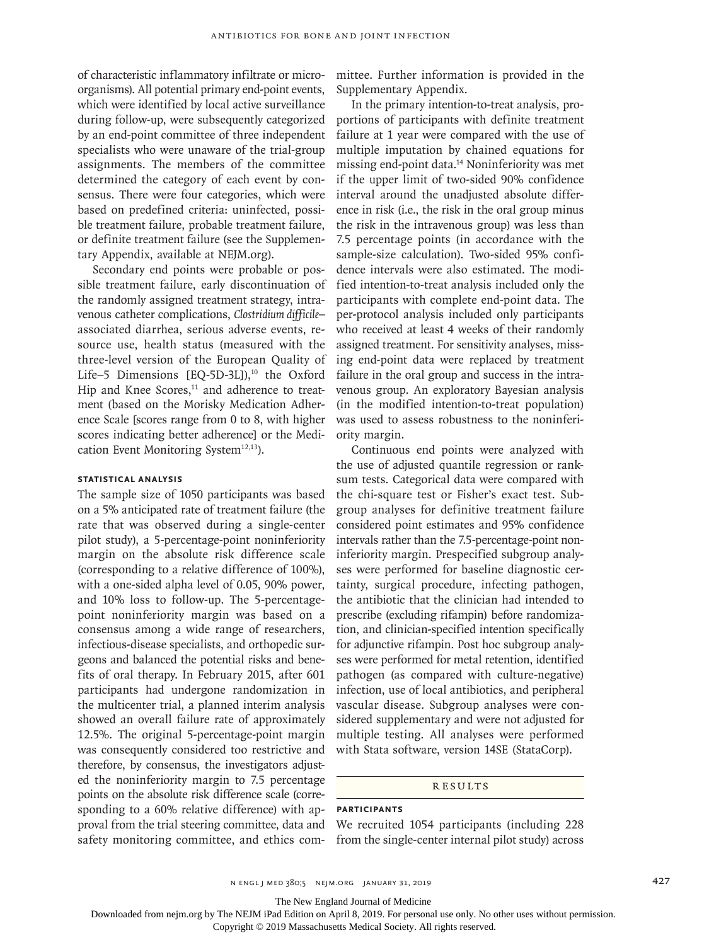of characteristic inflammatory infiltrate or microorganisms). All potential primary end-point events, which were identified by local active surveillance during follow-up, were subsequently categorized by an end-point committee of three independent specialists who were unaware of the trial-group assignments. The members of the committee determined the category of each event by consensus. There were four categories, which were based on predefined criteria: uninfected, possible treatment failure, probable treatment failure, or definite treatment failure (see the Supplementary Appendix, available at NEJM.org).

Secondary end points were probable or possible treatment failure, early discontinuation of the randomly assigned treatment strategy, intravenous catheter complications, *Clostridium difficile*– associated diarrhea, serious adverse events, resource use, health status (measured with the three-level version of the European Quality of Life–5 Dimensions  $[EQ-5D-3L]$ ,<sup>10</sup> the Oxford Hip and Knee Scores, $11$  and adherence to treatment (based on the Morisky Medication Adherence Scale [scores range from 0 to 8, with higher scores indicating better adherence] or the Medication Event Monitoring System<sup>12,13</sup>).

# **Statistical Analysis**

The sample size of 1050 participants was based on a 5% anticipated rate of treatment failure (the rate that was observed during a single-center pilot study), a 5-percentage-point noninferiority margin on the absolute risk difference scale (corresponding to a relative difference of 100%), with a one-sided alpha level of 0.05, 90% power, and 10% loss to follow-up. The 5-percentagepoint noninferiority margin was based on a consensus among a wide range of researchers, infectious-disease specialists, and orthopedic surgeons and balanced the potential risks and benefits of oral therapy. In February 2015, after 601 participants had undergone randomization in the multicenter trial, a planned interim analysis showed an overall failure rate of approximately 12.5%. The original 5-percentage-point margin was consequently considered too restrictive and therefore, by consensus, the investigators adjusted the noninferiority margin to 7.5 percentage points on the absolute risk difference scale (corresponding to a 60% relative difference) with approval from the trial steering committee, data and safety monitoring committee, and ethics committee. Further information is provided in the Supplementary Appendix.

In the primary intention-to-treat analysis, proportions of participants with definite treatment failure at 1 year were compared with the use of multiple imputation by chained equations for missing end-point data.14 Noninferiority was met if the upper limit of two-sided 90% confidence interval around the unadjusted absolute difference in risk (i.e., the risk in the oral group minus the risk in the intravenous group) was less than 7.5 percentage points (in accordance with the sample-size calculation). Two-sided 95% confidence intervals were also estimated. The modified intention-to-treat analysis included only the participants with complete end-point data. The per-protocol analysis included only participants who received at least 4 weeks of their randomly assigned treatment. For sensitivity analyses, missing end-point data were replaced by treatment failure in the oral group and success in the intravenous group. An exploratory Bayesian analysis (in the modified intention-to-treat population) was used to assess robustness to the noninferiority margin.

Continuous end points were analyzed with the use of adjusted quantile regression or ranksum tests. Categorical data were compared with the chi-square test or Fisher's exact test. Subgroup analyses for definitive treatment failure considered point estimates and 95% confidence intervals rather than the 7.5-percentage-point noninferiority margin. Prespecified subgroup analyses were performed for baseline diagnostic certainty, surgical procedure, infecting pathogen, the antibiotic that the clinician had intended to prescribe (excluding rifampin) before randomization, and clinician-specified intention specifically for adjunctive rifampin. Post hoc subgroup analyses were performed for metal retention, identified pathogen (as compared with culture-negative) infection, use of local antibiotics, and peripheral vascular disease. Subgroup analyses were considered supplementary and were not adjusted for multiple testing. All analyses were performed with Stata software, version 14SE (StataCorp).

## Results

## **Participants**

We recruited 1054 participants (including 228 from the single-center internal pilot study) across

The New England Journal of Medicine

Downloaded from nejm.org by The NEJM iPad Edition on April 8, 2019. For personal use only. No other uses without permission.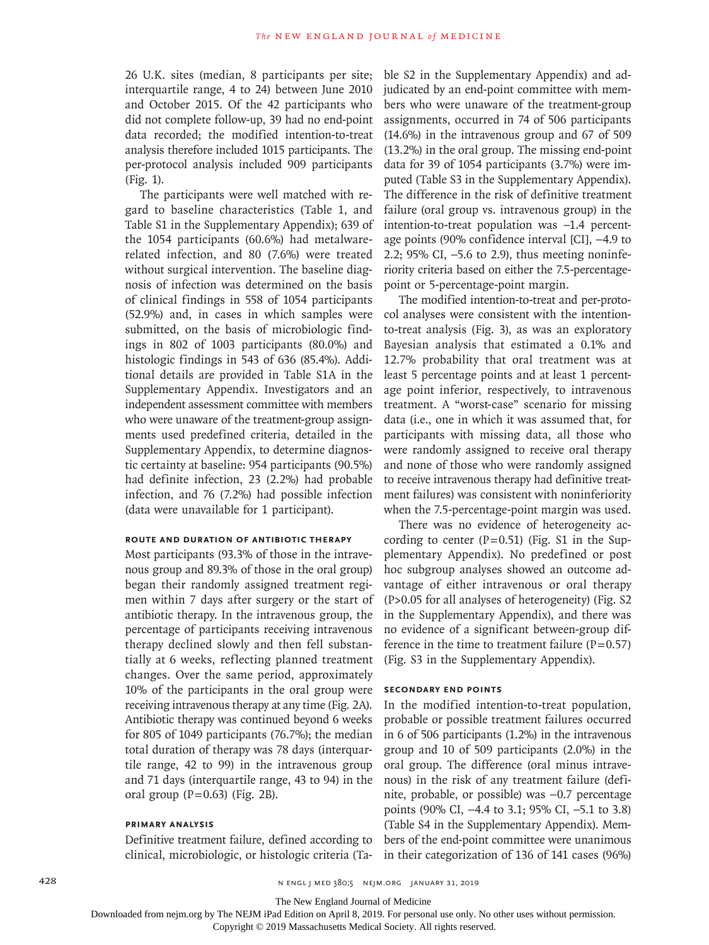26 U.K. sites (median, 8 participants per site; interquartile range, 4 to 24) between June 2010 and October 2015. Of the 42 participants who did not complete follow-up, 39 had no end-point data recorded; the modified intention-to-treat analysis therefore included 1015 participants. The per-protocol analysis included 909 participants (Fig. 1).

The participants were well matched with regard to baseline characteristics (Table 1, and Table S1 in the Supplementary Appendix); 639 of the 1054 participants (60.6%) had metalwarerelated infection, and 80 (7.6%) were treated without surgical intervention. The baseline diagnosis of infection was determined on the basis of clinical findings in 558 of 1054 participants (52.9%) and, in cases in which samples were submitted, on the basis of microbiologic findings in 802 of 1003 participants (80.0%) and histologic findings in 543 of 636 (85.4%). Additional details are provided in Table S1A in the Supplementary Appendix. Investigators and an independent assessment committee with members who were unaware of the treatment-group assignments used predefined criteria, detailed in the Supplementary Appendix, to determine diagnostic certainty at baseline: 954 participants (90.5%) had definite infection, 23 (2.2%) had probable infection, and 76 (7.2%) had possible infection (data were unavailable for 1 participant).

#### **Route and Duration of Antibiotic Therapy**

Most participants (93.3% of those in the intravenous group and 89.3% of those in the oral group) began their randomly assigned treatment regimen within 7 days after surgery or the start of antibiotic therapy. In the intravenous group, the percentage of participants receiving intravenous therapy declined slowly and then fell substantially at 6 weeks, reflecting planned treatment changes. Over the same period, approximately 10% of the participants in the oral group were receiving intravenous therapy at any time (Fig. 2A). Antibiotic therapy was continued beyond 6 weeks for 805 of 1049 participants (76.7%); the median total duration of therapy was 78 days (interquartile range, 42 to 99) in the intravenous group and 71 days (interquartile range, 43 to 94) in the oral group  $(P=0.63)$  (Fig. 2B).

# **Primary Analysis**

Definitive treatment failure, defined according to clinical, microbiologic, or histologic criteria (Table S2 in the Supplementary Appendix) and adjudicated by an end-point committee with members who were unaware of the treatment-group assignments, occurred in 74 of 506 participants (14.6%) in the intravenous group and 67 of 509 (13.2%) in the oral group. The missing end-point data for 39 of 1054 participants (3.7%) were imputed (Table S3 in the Supplementary Appendix). The difference in the risk of definitive treatment failure (oral group vs. intravenous group) in the intention-to-treat population was −1.4 percentage points (90% confidence interval [CI], −4.9 to 2.2; 95% CI, −5.6 to 2.9), thus meeting noninferiority criteria based on either the 7.5-percentagepoint or 5-percentage-point margin.

The modified intention-to-treat and per-protocol analyses were consistent with the intentionto-treat analysis (Fig. 3), as was an exploratory Bayesian analysis that estimated a 0.1% and 12.7% probability that oral treatment was at least 5 percentage points and at least 1 percentage point inferior, respectively, to intravenous treatment. A "worst-case" scenario for missing data (i.e., one in which it was assumed that, for participants with missing data, all those who were randomly assigned to receive oral therapy and none of those who were randomly assigned to receive intravenous therapy had definitive treatment failures) was consistent with noninferiority when the 7.5-percentage-point margin was used.

There was no evidence of heterogeneity according to center  $(P=0.51)$  (Fig. S1 in the Supplementary Appendix). No predefined or post hoc subgroup analyses showed an outcome advantage of either intravenous or oral therapy (P>0.05 for all analyses of heterogeneity) (Fig. S2 in the Supplementary Appendix), and there was no evidence of a significant between-group difference in the time to treatment failure  $(P=0.57)$ (Fig. S3 in the Supplementary Appendix).

## **Secondary End Points**

In the modified intention-to-treat population, probable or possible treatment failures occurred in 6 of 506 participants (1.2%) in the intravenous group and 10 of 509 participants (2.0%) in the oral group. The difference (oral minus intravenous) in the risk of any treatment failure (definite, probable, or possible) was −0.7 percentage points (90% CI, −4.4 to 3.1; 95% CI, −5.1 to 3.8) (Table S4 in the Supplementary Appendix). Members of the end-point committee were unanimous in their categorization of 136 of 141 cases (96%)

428 **n engl j med 380;5 nejm.org January 31, 2019** 

The New England Journal of Medicine

Downloaded from nejm.org by The NEJM iPad Edition on April 8, 2019. For personal use only. No other uses without permission.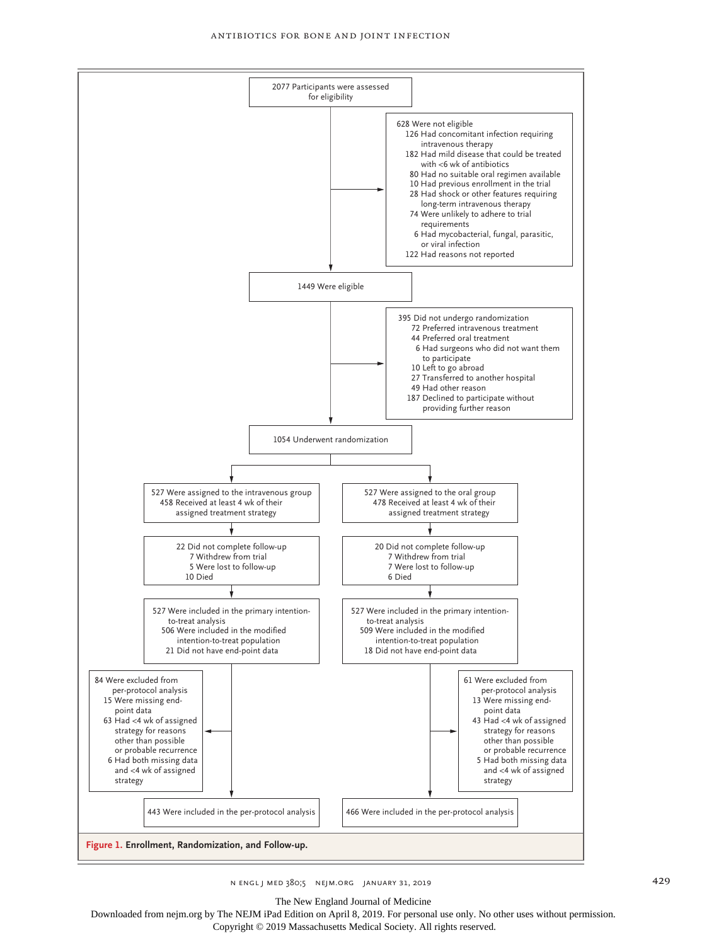

n engl j med 380;5 nejm.org January 31, 2019 429

The New England Journal of Medicine

Downloaded from nejm.org by The NEJM iPad Edition on April 8, 2019. For personal use only. No other uses without permission.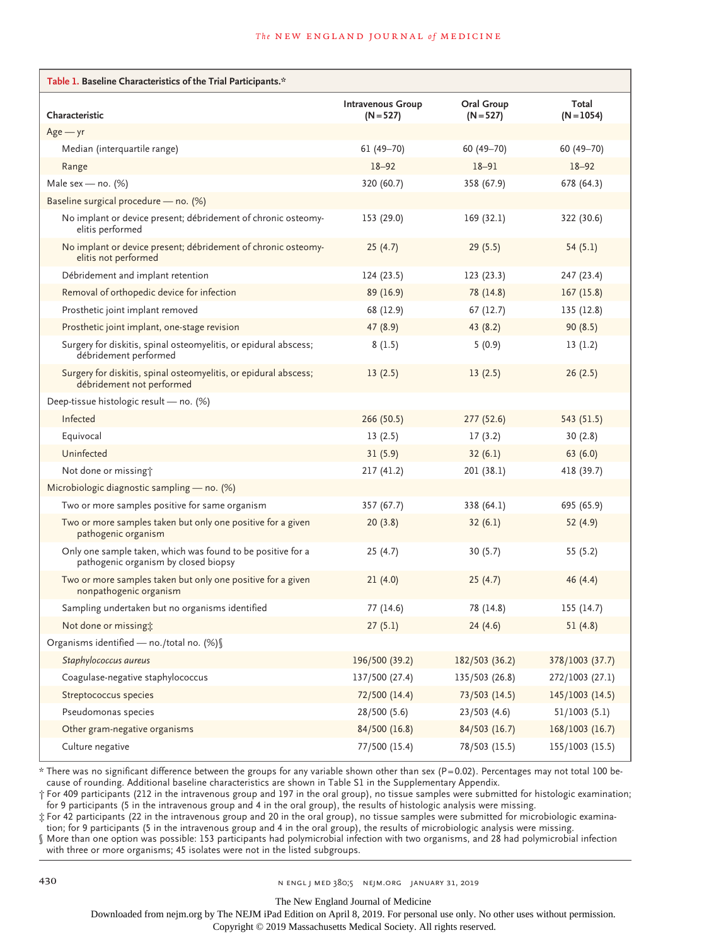#### **The NEW ENGLAND JOURNAL of MEDICINE**

| Table 1. Baseline Characteristics of the Trial Participants.*                                       |                                         |                           |                       |
|-----------------------------------------------------------------------------------------------------|-----------------------------------------|---------------------------|-----------------------|
| Characteristic                                                                                      | <b>Intravenous Group</b><br>$(N = 527)$ | Oral Group<br>$(N = 527)$ | Total<br>$(N = 1054)$ |
| $Age - yr$                                                                                          |                                         |                           |                       |
| Median (interquartile range)                                                                        | $61(49 - 70)$                           | $60(49 - 70)$             | $60(49 - 70)$         |
| Range                                                                                               | $18 - 92$                               | $18 - 91$                 | $18 - 92$             |
| Male sex — no. $(%)$                                                                                | 320 (60.7)                              | 358 (67.9)                | 678 (64.3)            |
| Baseline surgical procedure - no. (%)                                                               |                                         |                           |                       |
| No implant or device present; débridement of chronic osteomy-<br>elitis performed                   | 153 (29.0)                              | 169(32.1)                 | 322 (30.6)            |
| No implant or device present; débridement of chronic osteomy-<br>elitis not performed               | 25(4.7)                                 | 29(5.5)                   | 54(5.1)               |
| Débridement and implant retention                                                                   | 124(23.5)                               | 123(23.3)                 | 247 (23.4)            |
| Removal of orthopedic device for infection                                                          | 89 (16.9)                               | 78 (14.8)                 | 167(15.8)             |
| Prosthetic joint implant removed                                                                    | 68 (12.9)                               | 67(12.7)                  | 135 (12.8)            |
| Prosthetic joint implant, one-stage revision                                                        | 47 (8.9)                                | 43 (8.2)                  | 90(8.5)               |
| Surgery for diskitis, spinal osteomyelitis, or epidural abscess;<br>débridement performed           | 8(1.5)                                  | 5(0.9)                    | 13(1.2)               |
| Surgery for diskitis, spinal osteomyelitis, or epidural abscess;<br>débridement not performed       | 13(2.5)                                 | 13(2.5)                   | 26(2.5)               |
| Deep-tissue histologic result - no. (%)                                                             |                                         |                           |                       |
| Infected                                                                                            | 266 (50.5)                              | 277 (52.6)                | 543 (51.5)            |
| Equivocal                                                                                           | 13(2.5)                                 | 17(3.2)                   | 30(2.8)               |
| Uninfected                                                                                          | 31(5.9)                                 | 32(6.1)                   | 63(6.0)               |
| Not done or missing†                                                                                | 217(41.2)                               | 201 (38.1)                | 418 (39.7)            |
| Microbiologic diagnostic sampling - no. (%)                                                         |                                         |                           |                       |
| Two or more samples positive for same organism                                                      | 357 (67.7)                              | 338 (64.1)                | 695 (65.9)            |
| Two or more samples taken but only one positive for a given<br>pathogenic organism                  | 20(3.8)                                 | 32(6.1)                   | 52(4.9)               |
| Only one sample taken, which was found to be positive for a<br>pathogenic organism by closed biopsy | 25(4.7)                                 | 30(5.7)                   | 55 (5.2)              |
| Two or more samples taken but only one positive for a given<br>nonpathogenic organism               | 21(4.0)                                 | 25(4.7)                   | 46(4.4)               |
| Sampling undertaken but no organisms identified                                                     | 77 (14.6)                               | 78 (14.8)                 | 155(14.7)             |
| Not done or missingt                                                                                | 27(5.1)                                 | 24(4.6)                   | 51(4.8)               |
| Organisms identified - no./total no. (%)                                                            |                                         |                           |                       |
| Staphylococcus aureus                                                                               | 196/500 (39.2)                          | 182/503 (36.2)            | 378/1003 (37.7)       |
| Coagulase-negative staphylococcus                                                                   | 137/500 (27.4)                          | 135/503 (26.8)            | 272/1003 (27.1)       |
| Streptococcus species                                                                               | 72/500 (14.4)                           | 73/503 (14.5)             | 145/1003 (14.5)       |
| Pseudomonas species                                                                                 | 28/500 (5.6)                            | 23/503(4.6)               | 51/1003(5.1)          |
| Other gram-negative organisms                                                                       | 84/500 (16.8)                           | 84/503 (16.7)             | 168/1003 (16.7)       |
| Culture negative                                                                                    | 77/500 (15.4)                           | 78/503 (15.5)             | 155/1003 (15.5)       |

\* There was no significant difference between the groups for any variable shown other than sex (P=0.02). Percentages may not total 100 because of rounding. Additional baseline characteristics are shown in Table S1 in the Supplementary Appendix.

† For 409 participants (212 in the intravenous group and 197 in the oral group), no tissue samples were submitted for histologic examination; for 9 participants (5 in the intravenous group and 4 in the oral group), the results of histologic analysis were missing.

‡ For 42 participants (22 in the intravenous group and 20 in the oral group), no tissue samples were submitted for microbiologic examination; for 9 participants (5 in the intravenous group and 4 in the oral group), the results of microbiologic analysis were missing.

§ More than one option was possible: 153 participants had polymicrobial infection with two organisms, and 28 had polymicrobial infection with three or more organisms; 45 isolates were not in the listed subgroups.

The New England Journal of Medicine

Downloaded from nejm.org by The NEJM iPad Edition on April 8, 2019. For personal use only. No other uses without permission.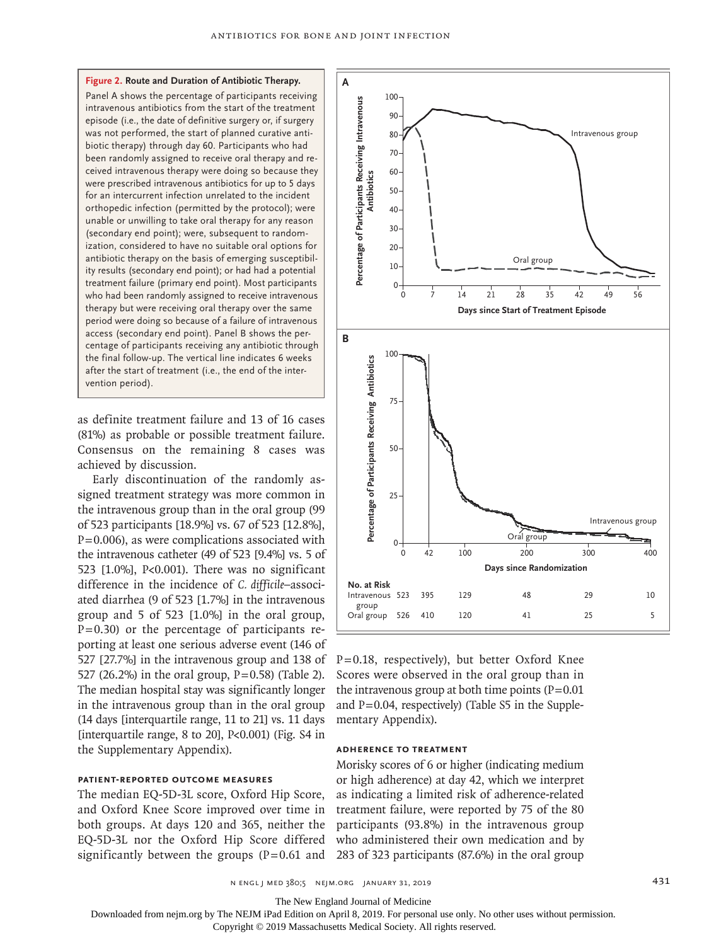**Figure 2. Route and Duration of Antibiotic Therapy.** Panel A shows the percentage of participants receiving intravenous antibiotics from the start of the treatment episode (i.e., the date of definitive surgery or, if surgery was not performed, the start of planned curative antibiotic therapy) through day 60. Participants who had been randomly assigned to receive oral therapy and received intravenous therapy were doing so because they were prescribed intravenous antibiotics for up to 5 days for an intercurrent infection unrelated to the incident orthopedic infection (permitted by the protocol); were unable or unwilling to take oral therapy for any reason (secondary end point); were, subsequent to randomization, considered to have no suitable oral options for antibiotic therapy on the basis of emerging susceptibility results (secondary end point); or had had a potential treatment failure (primary end point). Most participants who had been randomly assigned to receive intravenous therapy but were receiving oral therapy over the same period were doing so because of a failure of intravenous access (secondary end point). Panel B shows the percentage of participants receiving any antibiotic through the final follow-up. The vertical line indicates 6 weeks after the start of treatment (i.e., the end of the intervention period).

as definite treatment failure and 13 of 16 cases (81%) as probable or possible treatment failure. Consensus on the remaining 8 cases was achieved by discussion.

Early discontinuation of the randomly assigned treatment strategy was more common in the intravenous group than in the oral group (99 of 523 participants [18.9%] vs. 67 of 523 [12.8%], P=0.006), as were complications associated with the intravenous catheter (49 of 523 [9.4%] vs. 5 of 523 [1.0%], P<0.001). There was no significant difference in the incidence of *C. difficile*–associated diarrhea (9 of 523 [1.7%] in the intravenous group and 5 of 523 [1.0%] in the oral group,  $P=0.30$ ) or the percentage of participants reporting at least one serious adverse event (146 of 527 [27.7%] in the intravenous group and 138 of 527 (26.2%) in the oral group,  $P=0.58$ ) (Table 2). The median hospital stay was significantly longer in the intravenous group than in the oral group (14 days [interquartile range, 11 to 21] vs. 11 days [interquartile range, 8 to 20], P<0.001) (Fig. S4 in the Supplementary Appendix).

# **Patient-Reported Outcome Measures**

The median EQ-5D-3L score, Oxford Hip Score, and Oxford Knee Score improved over time in both groups. At days 120 and 365, neither the EQ-5D-3L nor the Oxford Hip Score differed significantly between the groups  $(P=0.61$  and



 $P=0.18$ , respectively), but better Oxford Knee Scores were observed in the oral group than in the intravenous group at both time points  $(P=0.01$ and  $P=0.04$ , respectively) (Table S5 in the Supplementary Appendix).

## **Adherence to Treatment**

Morisky scores of 6 or higher (indicating medium or high adherence) at day 42, which we interpret as indicating a limited risk of adherence-related treatment failure, were reported by 75 of the 80 participants (93.8%) in the intravenous group who administered their own medication and by 283 of 323 participants (87.6%) in the oral group

n engl j med 380;5 nejm.org January 31, 2019 431

The New England Journal of Medicine

Downloaded from nejm.org by The NEJM iPad Edition on April 8, 2019. For personal use only. No other uses without permission.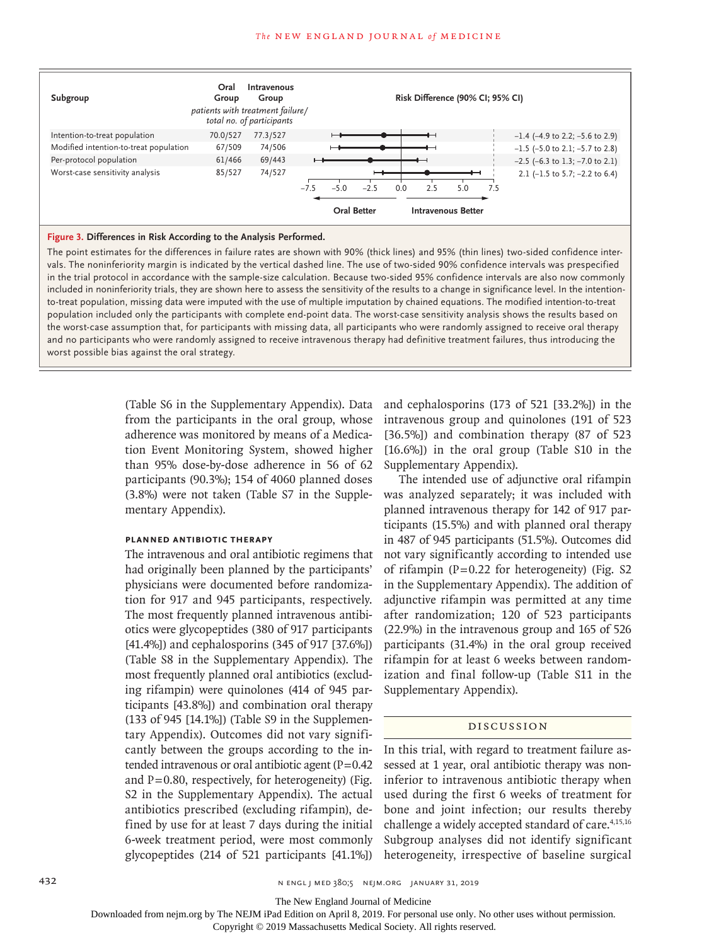

#### **Figure 3. Differences in Risk According to the Analysis Performed.**

The point estimates for the differences in failure rates are shown with 90% (thick lines) and 95% (thin lines) two-sided confidence intervals. The noninferiority margin is indicated by the vertical dashed line. The use of two-sided 90% confidence intervals was prespecified in the trial protocol in accordance with the sample-size calculation. Because two-sided 95% confidence intervals are also now commonly included in noninferiority trials, they are shown here to assess the sensitivity of the results to a change in significance level. In the intentionto-treat population, missing data were imputed with the use of multiple imputation by chained equations. The modified intention-to-treat population included only the participants with complete end-point data. The worst-case sensitivity analysis shows the results based on the worst-case assumption that, for participants with missing data, all participants who were randomly assigned to receive oral therapy and no participants who were randomly assigned to receive intravenous therapy had definitive treatment failures, thus introducing the worst possible bias against the oral strategy.

> (Table S6 in the Supplementary Appendix). Data from the participants in the oral group, whose adherence was monitored by means of a Medication Event Monitoring System, showed higher than 95% dose-by-dose adherence in 56 of 62 participants (90.3%); 154 of 4060 planned doses (3.8%) were not taken (Table S7 in the Supplementary Appendix).

## **Planned Antibiotic Therapy**

The intravenous and oral antibiotic regimens that had originally been planned by the participants' physicians were documented before randomization for 917 and 945 participants, respectively. The most frequently planned intravenous antibiotics were glycopeptides (380 of 917 participants [41.4%]) and cephalosporins (345 of 917 [37.6%]) (Table S8 in the Supplementary Appendix). The most frequently planned oral antibiotics (excluding rifampin) were quinolones (414 of 945 participants [43.8%]) and combination oral therapy (133 of 945 [14.1%]) (Table S9 in the Supplementary Appendix). Outcomes did not vary significantly between the groups according to the intended intravenous or oral antibiotic agent  $(P=0.42)$ and  $P=0.80$ , respectively, for heterogeneity) (Fig. S2 in the Supplementary Appendix). The actual antibiotics prescribed (excluding rifampin), defined by use for at least 7 days during the initial 6-week treatment period, were most commonly glycopeptides (214 of 521 participants [41.1%])

and cephalosporins (173 of 521 [33.2%]) in the intravenous group and quinolones (191 of 523 [36.5%]) and combination therapy (87 of 523 [16.6%]) in the oral group (Table S10 in the Supplementary Appendix).

The intended use of adjunctive oral rifampin was analyzed separately; it was included with planned intravenous therapy for 142 of 917 participants (15.5%) and with planned oral therapy in 487 of 945 participants (51.5%). Outcomes did not vary significantly according to intended use of rifampin  $(P=0.22$  for heterogeneity) (Fig. S2 in the Supplementary Appendix). The addition of adjunctive rifampin was permitted at any time after randomization; 120 of 523 participants (22.9%) in the intravenous group and 165 of 526 participants (31.4%) in the oral group received rifampin for at least 6 weeks between randomization and final follow-up (Table S11 in the Supplementary Appendix).

## Discussion

In this trial, with regard to treatment failure assessed at 1 year, oral antibiotic therapy was noninferior to intravenous antibiotic therapy when used during the first 6 weeks of treatment for bone and joint infection; our results thereby challenge a widely accepted standard of care.<sup>4,15,16</sup> Subgroup analyses did not identify significant heterogeneity, irrespective of baseline surgical

The New England Journal of Medicine

Downloaded from nejm.org by The NEJM iPad Edition on April 8, 2019. For personal use only. No other uses without permission.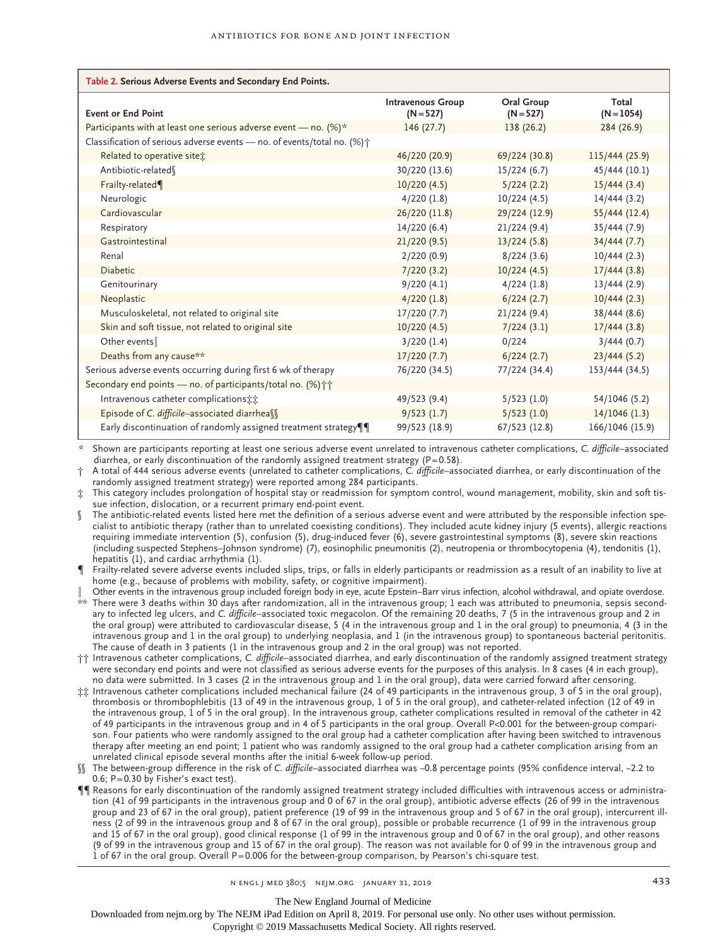| Table 2. Serious Adverse Events and Secondary End Points.                        |                                         |                           |                       |
|----------------------------------------------------------------------------------|-----------------------------------------|---------------------------|-----------------------|
| <b>Event or End Point</b>                                                        | <b>Intravenous Group</b><br>$(N = 527)$ | Oral Group<br>$(N = 527)$ | Total<br>$(N = 1054)$ |
| Participants with at least one serious adverse event - no. (%)*                  | 146(27.7)                               | 138 (26.2)                | 284 (26.9)            |
| Classification of serious adverse events - no. of events/total no. (%) $\dagger$ |                                         |                           |                       |
| Related to operative site:                                                       | 46/220 (20.9)                           | 69/224 (30.8)             | 115/444 (25.9)        |
| Antibiotic-related\                                                              | 30/220 (13.6)                           | 15/224(6.7)               | 45/444 (10.1)         |
| Frailty-related¶                                                                 | 10/220(4.5)                             | 5/224(2.2)                | 15/444(3.4)           |
| Neurologic                                                                       | 4/220(1.8)                              | 10/224(4.5)               | 14/444(3.2)           |
| Cardiovascular                                                                   | 26/220 (11.8)                           | 29/224 (12.9)             | 55/444 (12.4)         |
| Respiratory                                                                      | 14/220 (6.4)                            | 21/224(9.4)               | 35/444(7.9)           |
| Gastrointestinal                                                                 | 21/220(9.5)                             | 13/224(5.8)               | 34/444(7.7)           |
| Renal                                                                            | 2/220(0.9)                              | 8/224(3.6)                | 10/444(2.3)           |
| Diabetic                                                                         | 7/220(3.2)                              | 10/224(4.5)               | 17/444(3.8)           |
| Genitourinary                                                                    | 9/220(4.1)                              | 4/224(1.8)                | 13/444(2.9)           |
| Neoplastic                                                                       | 4/220(1.8)                              | 6/224(2.7)                | 10/444(2.3)           |
| Musculoskeletal, not related to original site                                    | 17/220(7.7)                             | 21/224(9.4)               | 38/444(8.6)           |
| Skin and soft tissue, not related to original site                               | 10/220(4.5)                             | 7/224(3.1)                | 17/444(3.8)           |
| Other events                                                                     | 3/220(1.4)                              | 0/224                     | 3/444(0.7)            |
| Deaths from any cause**                                                          | 17/220(7.7)                             | 6/224(2.7)                | 23/444(5.2)           |
| Serious adverse events occurring during first 6 wk of therapy                    | 76/220 (34.5)                           | 77/224 (34.4)             | 153/444 (34.5)        |
| Secondary end points - no. of participants/total no. (%) ii                      |                                         |                           |                       |
| Intravenous catheter complications;                                              | 49/523 (9.4)                            | 5/523(1.0)                | 54/1046 (5.2)         |
| Episode of C. difficile-associated diarrhea SS                                   | 9/523(1.7)                              | 5/523(1.0)                | $14/1046$ (1.3)       |
| Early discontinuation of randomly assigned treatment strategy¶¶                  | 99/523 (18.9)                           | 67/523 (12.8)             | 166/1046 (15.9)       |

\* Shown are participants reporting at least one serious adverse event unrelated to intravenous catheter complications, *C. difficile*–associated diarrhea, or early discontinuation of the randomly assigned treatment strategy ( $P=0.58$ ).

† A total of 444 serious adverse events (unrelated to catheter complications, *C. difficile*–associated diarrhea, or early discontinuation of the randomly assigned treatment strategy) were reported among 284 participants.

‡ This category includes prolongation of hospital stay or readmission for symptom control, wound management, mobility, skin and soft tissue infection, dislocation, or a recurrent primary end-point event.

The antibiotic-related events listed here met the definition of a serious adverse event and were attributed by the responsible infection specialist to antibiotic therapy (rather than to unrelated coexisting conditions). They included acute kidney injury (5 events), allergic reactions requiring immediate intervention (5), confusion (5), drug-induced fever (6), severe gastrointestinal symptoms (8), severe skin reactions (including suspected Stephens–Johnson syndrome) (7), eosinophilic pneumonitis (2), neutropenia or thrombocytopenia (4), tendonitis (1), hepatitis (1), and cardiac arrhythmia (1).

¶ Frailty-related severe adverse events included slips, trips, or falls in elderly participants or readmission as a result of an inability to live at home (e.g., because of problems with mobility, safety, or cognitive impairment).

‖ Other events in the intravenous group included foreign body in eye, acute Epstein–Barr virus infection, alcohol withdrawal, and opiate overdose.  $\stackrel{\text{\tiny{4}}{\times}}{\times}$  There were 3 deaths within 30 days after randomization, all in the intravenous group; 1 each was attributed to pneumonia, sepsis secondary to infected leg ulcers, and *C. difficile*–associated toxic megacolon. Of the remaining 20 deaths, 7 (5 in the intravenous group and 2 in the oral group) were attributed to cardiovascular disease, 5 (4 in the intravenous group and 1 in the oral group) to pneumonia, 4 (3 in the intravenous group and 1 in the oral group) to underlying neoplasia, and 1 (in the intravenous group) to spontaneous bacterial peritonitis. The cause of death in 3 patients (1 in the intravenous group and 2 in the oral group) was not reported.

†† Intravenous catheter complications, *C. difficile*–associated diarrhea, and early discontinuation of the randomly assigned treatment strategy were secondary end points and were not classified as serious adverse events for the purposes of this analysis. In 8 cases (4 in each group), no data were submitted. In 3 cases (2 in the intravenous group and 1 in the oral group), data were carried forward after censoring.

‡‡ Intravenous catheter complications included mechanical failure (24 of 49 participants in the intravenous group, 3 of 5 in the oral group), thrombosis or thrombophlebitis (13 of 49 in the intravenous group, 1 of 5 in the oral group), and catheter-related infection (12 of 49 in the intravenous group, 1 of 5 in the oral group). In the intravenous group, catheter complications resulted in removal of the catheter in 42 of 49 participants in the intravenous group and in 4 of 5 participants in the oral group. Overall P<0.001 for the between-group comparison. Four patients who were randomly assigned to the oral group had a catheter complication after having been switched to intravenous therapy after meeting an end point; 1 patient who was randomly assigned to the oral group had a catheter complication arising from an unrelated clinical episode several months after the initial 6-week follow-up period.

§§ The between-group difference in the risk of *C. difficile*–associated diarrhea was −0.8 percentage points (95% confidence interval, −2.2 to 0.6;  $P = 0.30$  by Fisher's exact test).

¶¶ Reasons for early discontinuation of the randomly assigned treatment strategy included difficulties with intravenous access or administration (41 of 99 participants in the intravenous group and 0 of 67 in the oral group), antibiotic adverse effects (26 of 99 in the intravenous group and 23 of 67 in the oral group), patient preference (19 of 99 in the intravenous group and 5 of 67 in the oral group), intercurrent illness (2 of 99 in the intravenous group and 8 of 67 in the oral group), possible or probable recurrence (1 of 99 in the intravenous group and 15 of 67 in the oral group), good clinical response (1 of 99 in the intravenous group and 0 of 67 in the oral group), and other reasons (9 of 99 in the intravenous group and 15 of 67 in the oral group). The reason was not available for 0 of 99 in the intravenous group and 1 of 67 in the oral group. Overall  $P=0.006$  for the between-group comparison, by Pearson's chi-square test.

n engl j med 380;5 nejm.org January 31, 2019 433

The New England Journal of Medicine

Downloaded from nejm.org by The NEJM iPad Edition on April 8, 2019. For personal use only. No other uses without permission.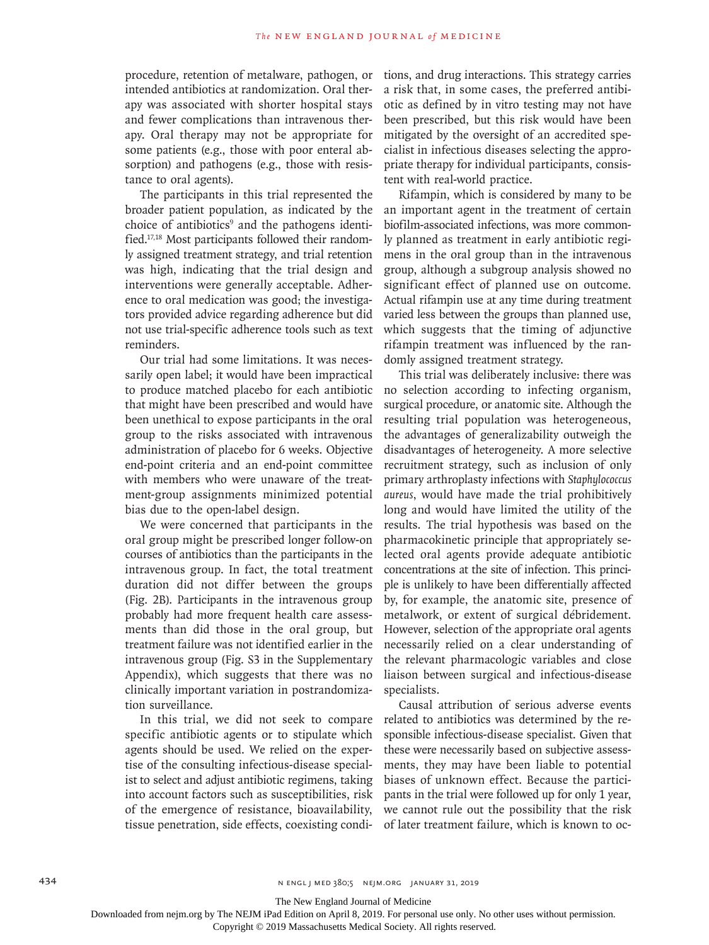procedure, retention of metalware, pathogen, or intended antibiotics at randomization. Oral therapy was associated with shorter hospital stays and fewer complications than intravenous therapy. Oral therapy may not be appropriate for some patients (e.g., those with poor enteral absorption) and pathogens (e.g., those with resistance to oral agents).

The participants in this trial represented the broader patient population, as indicated by the choice of antibiotics<sup>9</sup> and the pathogens identified.17,18 Most participants followed their randomly assigned treatment strategy, and trial retention was high, indicating that the trial design and interventions were generally acceptable. Adherence to oral medication was good; the investigators provided advice regarding adherence but did not use trial-specific adherence tools such as text reminders.

Our trial had some limitations. It was necessarily open label; it would have been impractical to produce matched placebo for each antibiotic that might have been prescribed and would have been unethical to expose participants in the oral group to the risks associated with intravenous administration of placebo for 6 weeks. Objective end-point criteria and an end-point committee with members who were unaware of the treatment-group assignments minimized potential bias due to the open-label design.

We were concerned that participants in the oral group might be prescribed longer follow-on courses of antibiotics than the participants in the intravenous group. In fact, the total treatment duration did not differ between the groups (Fig. 2B). Participants in the intravenous group probably had more frequent health care assessments than did those in the oral group, but treatment failure was not identified earlier in the intravenous group (Fig. S3 in the Supplementary Appendix), which suggests that there was no clinically important variation in postrandomization surveillance.

In this trial, we did not seek to compare specific antibiotic agents or to stipulate which agents should be used. We relied on the expertise of the consulting infectious-disease specialist to select and adjust antibiotic regimens, taking into account factors such as susceptibilities, risk of the emergence of resistance, bioavailability, tissue penetration, side effects, coexisting conditions, and drug interactions. This strategy carries a risk that, in some cases, the preferred antibiotic as defined by in vitro testing may not have been prescribed, but this risk would have been mitigated by the oversight of an accredited specialist in infectious diseases selecting the appropriate therapy for individual participants, consistent with real-world practice.

Rifampin, which is considered by many to be an important agent in the treatment of certain biofilm-associated infections, was more commonly planned as treatment in early antibiotic regimens in the oral group than in the intravenous group, although a subgroup analysis showed no significant effect of planned use on outcome. Actual rifampin use at any time during treatment varied less between the groups than planned use, which suggests that the timing of adjunctive rifampin treatment was influenced by the randomly assigned treatment strategy.

This trial was deliberately inclusive: there was no selection according to infecting organism, surgical procedure, or anatomic site. Although the resulting trial population was heterogeneous, the advantages of generalizability outweigh the disadvantages of heterogeneity. A more selective recruitment strategy, such as inclusion of only primary arthroplasty infections with *Staphylococcus aureus*, would have made the trial prohibitively long and would have limited the utility of the results. The trial hypothesis was based on the pharmacokinetic principle that appropriately selected oral agents provide adequate antibiotic concentrations at the site of infection. This principle is unlikely to have been differentially affected by, for example, the anatomic site, presence of metalwork, or extent of surgical débridement. However, selection of the appropriate oral agents necessarily relied on a clear understanding of the relevant pharmacologic variables and close liaison between surgical and infectious-disease specialists.

Causal attribution of serious adverse events related to antibiotics was determined by the responsible infectious-disease specialist. Given that these were necessarily based on subjective assessments, they may have been liable to potential biases of unknown effect. Because the participants in the trial were followed up for only 1 year, we cannot rule out the possibility that the risk of later treatment failure, which is known to oc-

434 **n engl j med 380;5 nejm.org January 31, 2019** 

The New England Journal of Medicine

Downloaded from nejm.org by The NEJM iPad Edition on April 8, 2019. For personal use only. No other uses without permission.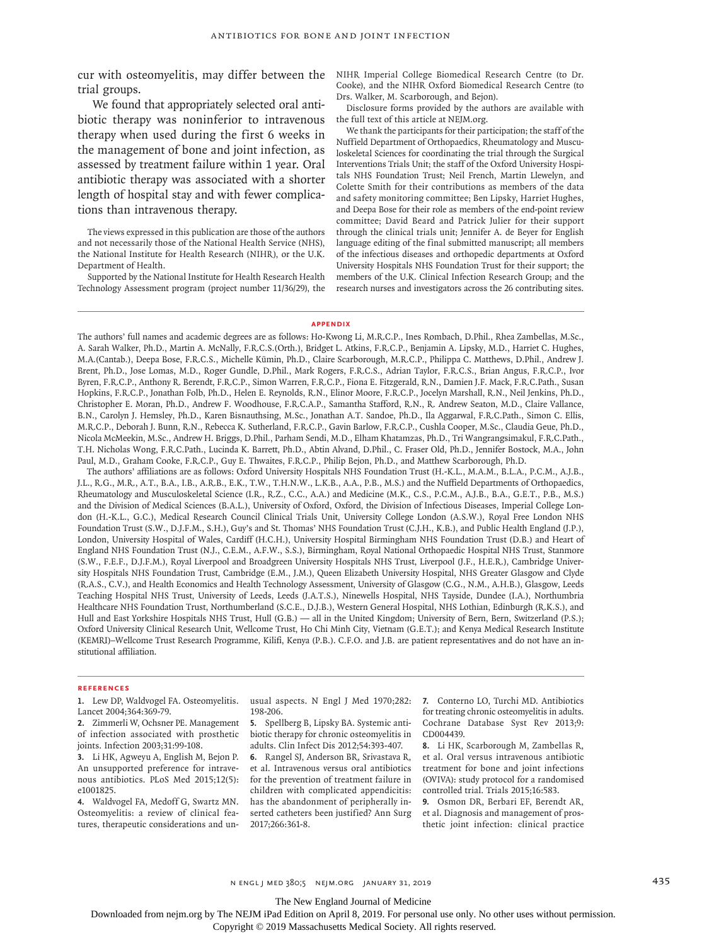cur with osteomyelitis, may differ between the NIHR Imperial College Biomedical Research Centre (to Dr. trial groups.

We found that appropriately selected oral antibiotic therapy was noninferior to intravenous therapy when used during the first 6 weeks in the management of bone and joint infection, as assessed by treatment failure within 1 year. Oral antibiotic therapy was associated with a shorter length of hospital stay and with fewer complications than intravenous therapy.

The views expressed in this publication are those of the authors and not necessarily those of the National Health Service (NHS), the National Institute for Health Research (NIHR), or the U.K. Department of Health.

Supported by the National Institute for Health Research Health Technology Assessment program (project number 11/36/29), the Cooke), and the NIHR Oxford Biomedical Research Centre (to Drs. Walker, M. Scarborough, and Bejon).

Disclosure forms provided by the authors are available with the full text of this article at NEJM.org.

We thank the participants for their participation; the staff of the Nuffield Department of Orthopaedics, Rheumatology and Musculoskeletal Sciences for coordinating the trial through the Surgical Interventions Trials Unit; the staff of the Oxford University Hospitals NHS Foundation Trust; Neil French, Martin Llewelyn, and Colette Smith for their contributions as members of the data and safety monitoring committee; Ben Lipsky, Harriet Hughes, and Deepa Bose for their role as members of the end-point review committee; David Beard and Patrick Julier for their support through the clinical trials unit; Jennifer A. de Beyer for English language editing of the final submitted manuscript; all members of the infectious diseases and orthopedic departments at Oxford University Hospitals NHS Foundation Trust for their support; the members of the U.K. Clinical Infection Research Group; and the research nurses and investigators across the 26 contributing sites.

#### **Appendix**

The authors' full names and academic degrees are as follows: Ho-Kwong Li, M.R.C.P., Ines Rombach, D.Phil., Rhea Zambellas, M.Sc., A. Sarah Walker, Ph.D., Martin A. McNally, F.R.C.S.(Orth.), Bridget L. Atkins, F.R.C.P., Benjamin A. Lipsky, M.D., Harriet C. Hughes, M.A.(Cantab.), Deepa Bose, F.R.C.S., Michelle Kümin, Ph.D., Claire Scarborough, M.R.C.P., Philippa C. Matthews, D.Phil., Andrew J. Brent, Ph.D., Jose Lomas, M.D., Roger Gundle, D.Phil., Mark Rogers, F.R.C.S., Adrian Taylor, F.R.C.S., Brian Angus, F.R.C.P., Ivor Byren, F.R.C.P., Anthony R. Berendt, F.R.C.P., Simon Warren, F.R.C.P., Fiona E. Fitzgerald, R.N., Damien J.F. Mack, F.R.C.Path., Susan Hopkins, F.R.C.P., Jonathan Folb, Ph.D., Helen E. Reynolds, R.N., Elinor Moore, F.R.C.P., Jocelyn Marshall, R.N., Neil Jenkins, Ph.D., Christopher E. Moran, Ph.D., Andrew F. Woodhouse, F.R.C.A.P., Samantha Stafford, R.N., R. Andrew Seaton, M.D., Claire Vallance, B.N., Carolyn J. Hemsley, Ph.D., Karen Bisnauthsing, M.Sc., Jonathan A.T. Sandoe, Ph.D., Ila Aggarwal, F.R.C.Path., Simon C. Ellis, M.R.C.P., Deborah J. Bunn, R.N., Rebecca K. Sutherland, F.R.C.P., Gavin Barlow, F.R.C.P., Cushla Cooper, M.Sc., Claudia Geue, Ph.D., Nicola McMeekin, M.Sc., Andrew H. Briggs, D.Phil., Parham Sendi, M.D., Elham Khatamzas, Ph.D., Tri Wangrangsimakul, F.R.C.Path., T.H. Nicholas Wong, F.R.C.Path., Lucinda K. Barrett, Ph.D., Abtin Alvand, D.Phil., C. Fraser Old, Ph.D., Jennifer Bostock, M.A., John Paul, M.D., Graham Cooke, F.R.C.P., Guy E. Thwaites, F.R.C.P., Philip Bejon, Ph.D., and Matthew Scarborough, Ph.D.

The authors' affiliations are as follows: Oxford University Hospitals NHS Foundation Trust (H.-K.L., M.A.M., B.L.A., P.C.M., A.J.B., J.L., R.G., M.R., A.T., B.A., I.B., A.R.B., E.K., T.W., T.H.N.W., L.K.B., A.A., P.B., M.S.) and the Nuffield Departments of Orthopaedics, Rheumatology and Musculoskeletal Science (I.R., R.Z., C.C., A.A.) and Medicine (M.K., C.S., P.C.M., A.J.B., B.A., G.E.T., P.B., M.S.) and the Division of Medical Sciences (B.A.L.), University of Oxford, Oxford, the Division of Infectious Diseases, Imperial College London (H.-K.L., G.C.), Medical Research Council Clinical Trials Unit, University College London (A.S.W.), Royal Free London NHS Foundation Trust (S.W., D.J.F.M., S.H.), Guy's and St. Thomas' NHS Foundation Trust (C.J.H., K.B.), and Public Health England (J.P.), London, University Hospital of Wales, Cardiff (H.C.H.), University Hospital Birmingham NHS Foundation Trust (D.B.) and Heart of England NHS Foundation Trust (N.J., C.E.M., A.F.W., S.S.), Birmingham, Royal National Orthopaedic Hospital NHS Trust, Stanmore (S.W., F.E.F., D.J.F.M.), Royal Liverpool and Broadgreen University Hospitals NHS Trust, Liverpool (J.F., H.E.R.), Cambridge University Hospitals NHS Foundation Trust, Cambridge (E.M., J.M.), Queen Elizabeth University Hospital, NHS Greater Glasgow and Clyde (R.A.S., C.V.), and Health Economics and Health Technology Assessment, University of Glasgow (C.G., N.M., A.H.B.), Glasgow, Leeds Teaching Hospital NHS Trust, University of Leeds, Leeds (J.A.T.S.), Ninewells Hospital, NHS Tayside, Dundee (I.A.), Northumbria Healthcare NHS Foundation Trust, Northumberland (S.C.E., D.J.B.), Western General Hospital, NHS Lothian, Edinburgh (R.K.S.), and Hull and East Yorkshire Hospitals NHS Trust, Hull (G.B.) — all in the United Kingdom; University of Bern, Bern, Switzerland (P.S.); Oxford University Clinical Research Unit, Wellcome Trust, Ho Chi Minh City, Vietnam (G.E.T.); and Kenya Medical Research Institute (KEMRI)–Wellcome Trust Research Programme, Kilifi, Kenya (P.B.). C.F.O. and J.B. are patient representatives and do not have an institutional affiliation.

#### **References**

**1.** Lew DP, Waldvogel FA. Osteomyelitis. Lancet 2004;364:369-79.

**2.** Zimmerli W, Ochsner PE. Management of infection associated with prosthetic joints. Infection 2003;31:99-108.

**3.** Li HK, Agweyu A, English M, Bejon P. An unsupported preference for intravenous antibiotics. PLoS Med 2015;12(5): e1001825.

**4.** Waldvogel FA, Medoff G, Swartz MN. Osteomyelitis: a review of clinical features, therapeutic considerations and unusual aspects. N Engl J Med 1970;282: 198-206.

**5.** Spellberg B, Lipsky BA. Systemic antibiotic therapy for chronic osteomyelitis in adults. Clin Infect Dis 2012;54:393-407.

**6.** Rangel SJ, Anderson BR, Srivastava R, et al. Intravenous versus oral antibiotics for the prevention of treatment failure in children with complicated appendicitis: has the abandonment of peripherally inserted catheters been justified? Ann Surg 2017;266:361-8.

**7.** Conterno LO, Turchi MD. Antibiotics for treating chronic osteomyelitis in adults. Cochrane Database Syst Rev 2013;9: CD004439.

**8.** Li HK, Scarborough M, Zambellas R, et al. Oral versus intravenous antibiotic treatment for bone and joint infections (OVIVA): study protocol for a randomised controlled trial. Trials 2015;16:583.

**9.** Osmon DR, Berbari EF, Berendt AR, et al. Diagnosis and management of prosthetic joint infection: clinical practice

n engl j med 380;5 nejm.org January 31, 2019 435

The New England Journal of Medicine

Downloaded from nejm.org by The NEJM iPad Edition on April 8, 2019. For personal use only. No other uses without permission.